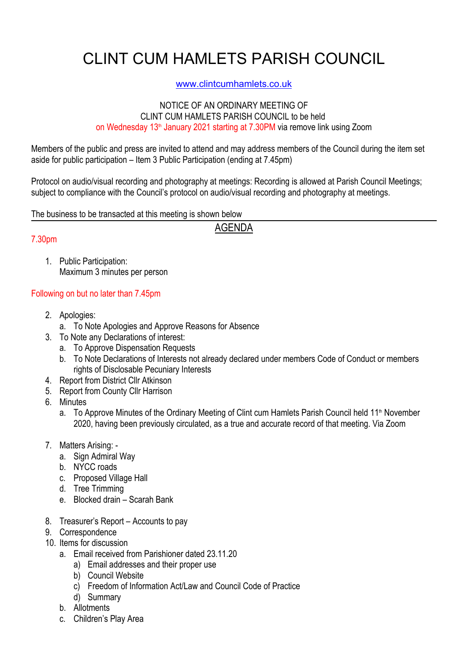# CLINT CUM HAMLETS PARISH COUNCIL

### www.clintcumhamlets.co.uk

#### NOTICE OF AN ORDINARY MEETING OF CLINT CUM HAMLETS PARISH COUNCIL to be held on Wednesday 13<sup>th</sup> January 2021 starting at 7.30PM via remove link using Zoom

Members of the public and press are invited to attend and may address members of the Council during the item set aside for public participation – Item 3 Public Participation (ending at 7.45pm)

Protocol on audio/visual recording and photography at meetings: Recording is allowed at Parish Council Meetings; subiect to compliance with the Council's protocol on audio/visual recording and photography at meetings.

The business to be transacted at this meeting is shown below

AGENDA

#### 7.30pm

1. Public Participation: Maximum 3 minutes per person

## Following on but no later than 7.45pm

- 2. Apologies:
	- a. To Note Apologies and Approve Reasons for Absence
- 3. To Note any Declarations of interest:
	- a. To Approve Dispensation Requests
	- b. To Note Declarations of Interests not already declared under members Code of Conduct or members rights of Disclosable Pecuniary Interests
- 4. Report from District Cllr Atkinson
- 5. Report from County Cllr Harrison
- 6. Minutes
	- a. To Approve Minutes of the Ordinary Meeting of Clint cum Hamlets Parish Council held 11<sup>th</sup> November 2020, having been previously circulated, as a true and accurate record of that meeting. Via Zoom
- 7. Matters Arising:
	- a. Sign Admiral Way
	- b. NYCC roads
	- c. Proposed Village Hall
	- d. Tree Trimming
	- e. Blocked drain Scarah Bank
- 8. Treasurer's Report Accounts to pay
- 9. Correspondence
- 10. Items for discussion
	- a. Email received from Parishioner dated 23.11.20
		- a) Email addresses and their proper use
		- b) Council Website
		- c) Freedom of Information Act/Law and Council Code of Practice
		- d) Summary
	- b. Allotments
	- c. Children's Play Area